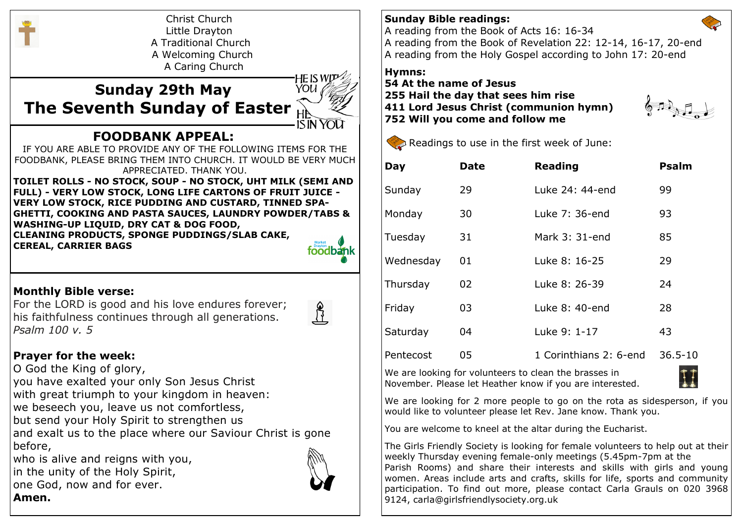

Christ Church Little Drayton A Traditional Church A Welcoming Church A Caring Church

# **Sunday 29th May The Seventh Sunday of Easter**



## **FOODBANK APPEAL:**

IF YOU ARE ABLE TO PROVIDE ANY OF THE FOLLOWING ITEMS FOR THE FOODBANK, PLEASE BRING THEM INTO CHURCH. IT WOULD BE VERY MUCH APPRECIATED. THANK YOU.

**TOILET ROLLS - NO STOCK, SOUP - NO STOCK, UHT MILK (SEMI AND FULL) - VERY LOW STOCK, LONG LIFE CARTONS OF FRUIT JUICE - VERY LOW STOCK, RICE PUDDING AND CUSTARD, TINNED SPA-GHETTI, COOKING AND PASTA SAUCES, LAUNDRY POWDER/TABS & WASHING-UP LIQUID, DRY CAT & DOG FOOD, CLEANING PRODUCTS, SPONGE PUDDINGS/SLAB CAKE, CEREAL, CARRIER BAGS**



### **Monthly Bible verse:**

For the LORD is good and his love endures forever; his faithfulness continues through all generations. *Psalm 100 v. 5*



### **Prayer for the week:**

O God the King of glory, you have exalted your only Son Jesus Christ with great triumph to your kingdom in heaven: we beseech you, leave us not comfortless, but send your Holy Spirit to strengthen us and exalt us to the place where our Saviour Christ is gone before, who is alive and reigns with you,

in the unity of the Holy Spirit, one God, now and for ever. **Amen.**



#### **Sunday Bible readings:**

A reading from the Book of Acts 16: 16-34 A reading from the Book of Revelation 22: 12-14, 16-17, 20-end A reading from the Holy Gospel according to John 17: 20-end

**Hymns:** 

**54 At the name of Jesus 255 Hail the day that sees him rise 411 Lord Jesus Christ (communion hymn) 752 Will you come and follow me**





Readings to use in the first week of June:

| Day       | <b>Date</b> | <b>Reading</b>         | <b>Psalm</b> |
|-----------|-------------|------------------------|--------------|
| Sunday    | 29          | Luke 24: 44-end        | 99           |
| Monday    | 30          | Luke 7: 36-end         | 93           |
| Tuesday   | 31          | Mark 3: 31-end         | 85           |
| Wednesday | 01          | Luke 8: 16-25          | 29           |
| Thursday  | 02          | Luke 8: 26-39          | 24           |
| Friday    | 03          | Luke 8: 40-end         | 28           |
| Saturday  | 04          | Luke 9: 1-17           | 43           |
| Pentecost | 05          | 1 Corinthians 2: 6-end | $36.5 - 10$  |

We are looking for volunteers to clean the brasses in November. Please let Heather know if you are interested.



We are looking for 2 more people to go on the rota as sidesperson, if you would like to volunteer please let Rev. Jane know. Thank you.

You are welcome to kneel at the altar during the Eucharist.

The Girls Friendly Society is looking for female volunteers to help out at their weekly Thursday evening female-only meetings (5.45pm-7pm at the Parish Rooms) and share their interests and skills with girls and young women. Areas include arts and crafts, skills for life, sports and community participation. To find out more, please contact Carla Grauls on 020 3968 9124, carla@girlsfriendlysociety.org.uk